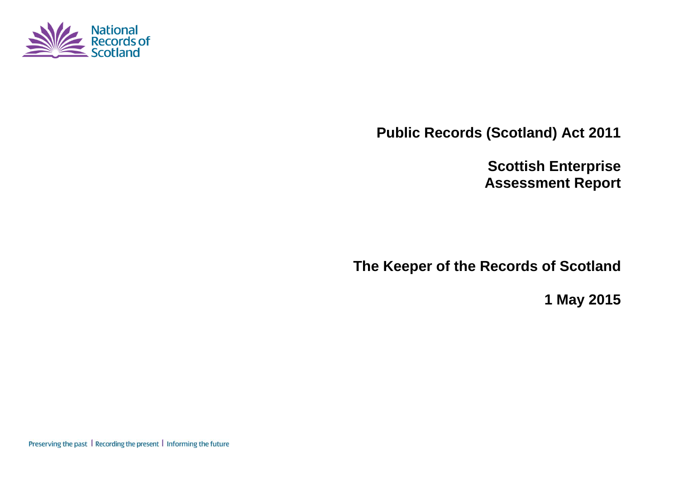

**Public Records (Scotland) Act 2011**

**Scottish Enterprise Assessment Report**

**The Keeper of the Records of Scotland**

**1 May 2015**

Preserving the past | Recording the present | Informing the future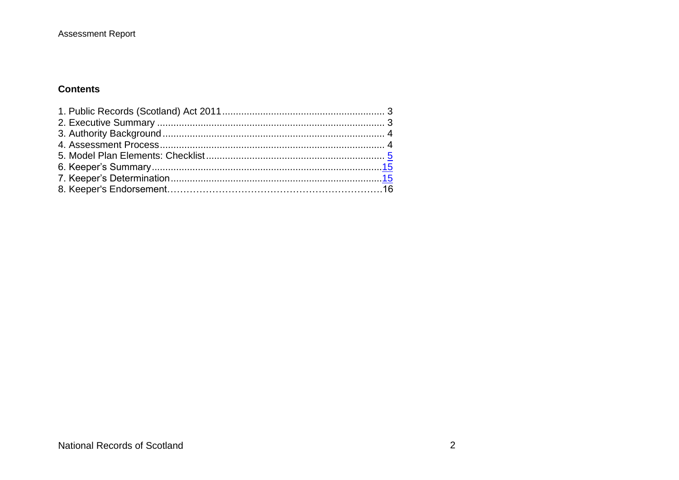#### **Contents**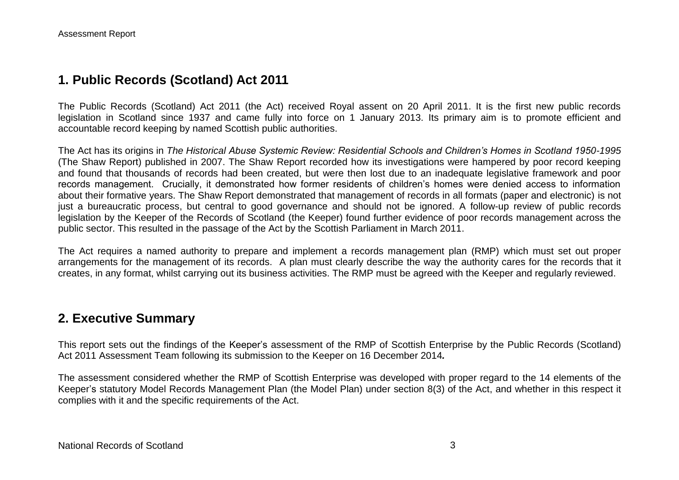## **1. Public Records (Scotland) Act 2011**

The Public Records (Scotland) Act 2011 (the Act) received Royal assent on 20 April 2011. It is the first new public records legislation in Scotland since 1937 and came fully into force on 1 January 2013. Its primary aim is to promote efficient and accountable record keeping by named Scottish public authorities.

The Act has its origins in *The Historical Abuse Systemic Review: Residential Schools and Children's Homes in Scotland 1950-1995* (The Shaw Report) published in 2007. The Shaw Report recorded how its investigations were hampered by poor record keeping and found that thousands of records had been created, but were then lost due to an inadequate legislative framework and poor records management. Crucially, it demonstrated how former residents of children's homes were denied access to information about their formative years. The Shaw Report demonstrated that management of records in all formats (paper and electronic) is not just a bureaucratic process, but central to good governance and should not be ignored. A follow-up review of public records legislation by the Keeper of the Records of Scotland (the Keeper) found further evidence of poor records management across the public sector. This resulted in the passage of the Act by the Scottish Parliament in March 2011.

The Act requires a named authority to prepare and implement a records management plan (RMP) which must set out proper arrangements for the management of its records. A plan must clearly describe the way the authority cares for the records that it creates, in any format, whilst carrying out its business activities. The RMP must be agreed with the Keeper and regularly reviewed.

### **2. Executive Summary**

This report sets out the findings of the Keeper's assessment of the RMP of Scottish Enterprise by the Public Records (Scotland) Act 2011 Assessment Team following its submission to the Keeper on 16 December 2014*.*

The assessment considered whether the RMP of Scottish Enterprise was developed with proper regard to the 14 elements of the Keeper's statutory Model Records Management Plan (the Model Plan) under section 8(3) of the Act, and whether in this respect it complies with it and the specific requirements of the Act.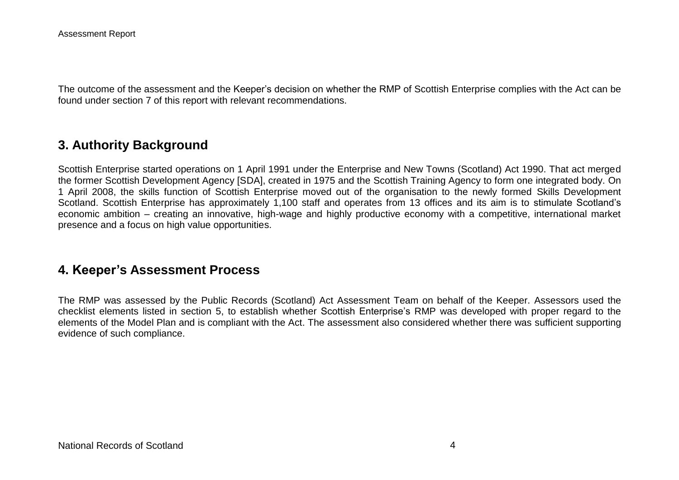The outcome of the assessment and the Keeper's decision on whether the RMP of Scottish Enterprise complies with the Act can be found under section 7 of this report with relevant recommendations.

## **3. Authority Background**

Scottish Enterprise started operations on 1 April 1991 under the Enterprise and New Towns (Scotland) Act 1990. That act merged the former Scottish Development Agency [SDA], created in 1975 and the Scottish Training Agency to form one integrated body. On 1 April 2008, the skills function of Scottish Enterprise moved out of the organisation to the newly formed Skills Development Scotland. Scottish Enterprise has approximately 1,100 staff and operates from 13 offices and its aim is to stimulate Scotland's economic ambition – creating an innovative, high-wage and highly productive economy with a competitive, international market presence and a focus on high value opportunities.

### **4. Keeper's Assessment Process**

The RMP was assessed by the Public Records (Scotland) Act Assessment Team on behalf of the Keeper. Assessors used the checklist elements listed in section 5, to establish whether Scottish Enterprise's RMP was developed with proper regard to the elements of the Model Plan and is compliant with the Act. The assessment also considered whether there was sufficient supporting evidence of such compliance.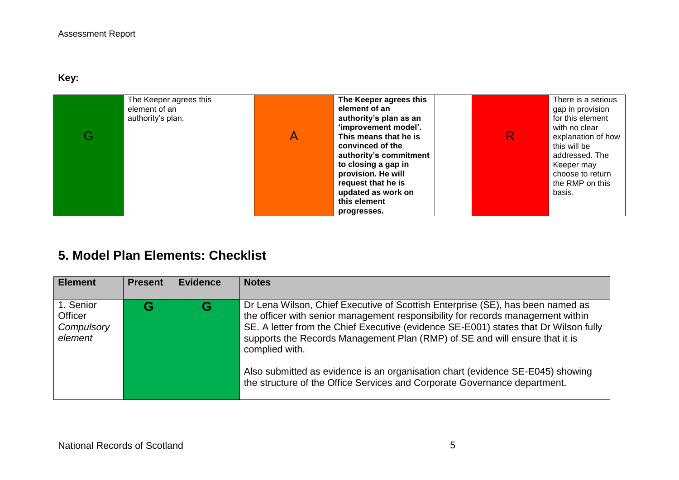**Key:** 

| The Keeper agrees this<br>element of an<br>authority's plan. | A | The Keeper agrees this<br>element of an<br>authority's plan as an<br>'improvement model'.<br>This means that he is<br>convinced of the<br>authority's commitment<br>to closing a gap in<br>provision. He will<br>request that he is<br>updated as work on | R. | There is a serious<br>gap in provision<br>for this element<br>with no clear<br>explanation of how<br>this will be<br>addressed. The<br>Keeper may<br>choose to return<br>the RMP on this<br>basis. |
|--------------------------------------------------------------|---|-----------------------------------------------------------------------------------------------------------------------------------------------------------------------------------------------------------------------------------------------------------|----|----------------------------------------------------------------------------------------------------------------------------------------------------------------------------------------------------|
|                                                              |   | this element<br>progresses.                                                                                                                                                                                                                               |    |                                                                                                                                                                                                    |

# **5. Model Plan Elements: Checklist**

| <b>Element</b>                                       | <b>Present</b> | <b>Evidence</b> | <b>Notes</b>                                                                                                                                                                                                                                                                                                                                                                                                                                                                                                              |
|------------------------------------------------------|----------------|-----------------|---------------------------------------------------------------------------------------------------------------------------------------------------------------------------------------------------------------------------------------------------------------------------------------------------------------------------------------------------------------------------------------------------------------------------------------------------------------------------------------------------------------------------|
| 1. Senior<br><b>Officer</b><br>Compulsory<br>element | G              | G               | Dr Lena Wilson, Chief Executive of Scottish Enterprise (SE), has been named as<br>the officer with senior management responsibility for records management within<br>SE. A letter from the Chief Executive (evidence SE-E001) states that Dr Wilson fully<br>supports the Records Management Plan (RMP) of SE and will ensure that it is<br>complied with.<br>Also submitted as evidence is an organisation chart (evidence SE-E045) showing<br>the structure of the Office Services and Corporate Governance department. |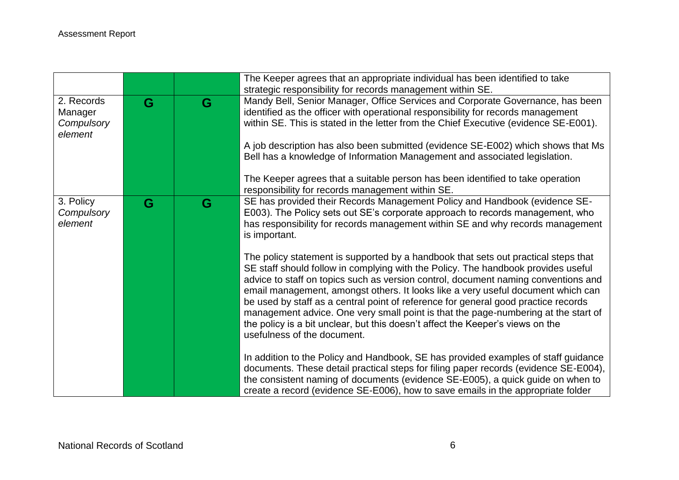|                                                |   |   | The Keeper agrees that an appropriate individual has been identified to take<br>strategic responsibility for records management within SE.                                                                                                                                                                                                                                                                                                                                                                                                                                                                                                     |
|------------------------------------------------|---|---|------------------------------------------------------------------------------------------------------------------------------------------------------------------------------------------------------------------------------------------------------------------------------------------------------------------------------------------------------------------------------------------------------------------------------------------------------------------------------------------------------------------------------------------------------------------------------------------------------------------------------------------------|
| 2. Records<br>Manager<br>Compulsory<br>element | G | G | Mandy Bell, Senior Manager, Office Services and Corporate Governance, has been<br>identified as the officer with operational responsibility for records management<br>within SE. This is stated in the letter from the Chief Executive (evidence SE-E001).<br>A job description has also been submitted (evidence SE-E002) which shows that Ms<br>Bell has a knowledge of Information Management and associated legislation.<br>The Keeper agrees that a suitable person has been identified to take operation<br>responsibility for records management within SE.                                                                             |
| 3. Policy<br>Compulsory<br>element             | G | G | SE has provided their Records Management Policy and Handbook (evidence SE-<br>E003). The Policy sets out SE's corporate approach to records management, who<br>has responsibility for records management within SE and why records management<br>is important.                                                                                                                                                                                                                                                                                                                                                                                 |
|                                                |   |   | The policy statement is supported by a handbook that sets out practical steps that<br>SE staff should follow in complying with the Policy. The handbook provides useful<br>advice to staff on topics such as version control, document naming conventions and<br>email management, amongst others. It looks like a very useful document which can<br>be used by staff as a central point of reference for general good practice records<br>management advice. One very small point is that the page-numbering at the start of<br>the policy is a bit unclear, but this doesn't affect the Keeper's views on the<br>usefulness of the document. |
|                                                |   |   | In addition to the Policy and Handbook, SE has provided examples of staff guidance<br>documents. These detail practical steps for filing paper records (evidence SE-E004),<br>the consistent naming of documents (evidence SE-E005), a quick guide on when to<br>create a record (evidence SE-E006), how to save emails in the appropriate folder                                                                                                                                                                                                                                                                                              |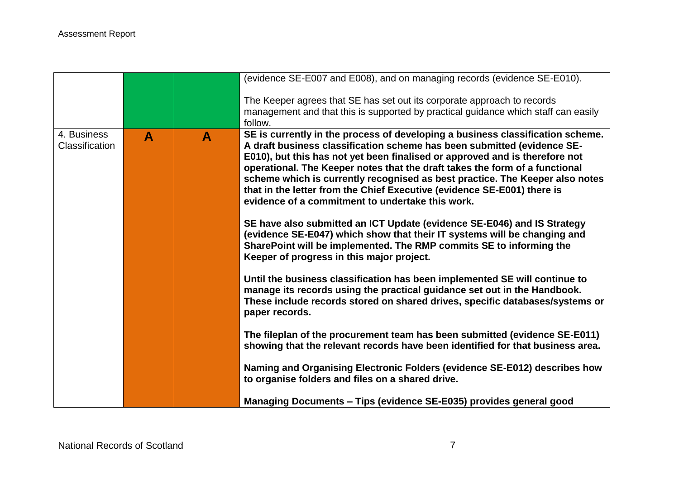|                                      |   |   | (evidence SE-E007 and E008), and on managing records (evidence SE-E010).                                                                                                                                                                                                                                                                                                                                                                                                                                                               |
|--------------------------------------|---|---|----------------------------------------------------------------------------------------------------------------------------------------------------------------------------------------------------------------------------------------------------------------------------------------------------------------------------------------------------------------------------------------------------------------------------------------------------------------------------------------------------------------------------------------|
|                                      |   |   | The Keeper agrees that SE has set out its corporate approach to records<br>management and that this is supported by practical guidance which staff can easily<br>follow.                                                                                                                                                                                                                                                                                                                                                               |
| 4. Business<br><b>Classification</b> | A | A | SE is currently in the process of developing a business classification scheme.<br>A draft business classification scheme has been submitted (evidence SE-<br>E010), but this has not yet been finalised or approved and is therefore not<br>operational. The Keeper notes that the draft takes the form of a functional<br>scheme which is currently recognised as best practice. The Keeper also notes<br>that in the letter from the Chief Executive (evidence SE-E001) there is<br>evidence of a commitment to undertake this work. |
|                                      |   |   | SE have also submitted an ICT Update (evidence SE-E046) and IS Strategy<br>(evidence SE-E047) which show that their IT systems will be changing and<br>SharePoint will be implemented. The RMP commits SE to informing the<br>Keeper of progress in this major project.                                                                                                                                                                                                                                                                |
|                                      |   |   | Until the business classification has been implemented SE will continue to<br>manage its records using the practical guidance set out in the Handbook.<br>These include records stored on shared drives, specific databases/systems or<br>paper records.                                                                                                                                                                                                                                                                               |
|                                      |   |   | The fileplan of the procurement team has been submitted (evidence SE-E011)<br>showing that the relevant records have been identified for that business area.                                                                                                                                                                                                                                                                                                                                                                           |
|                                      |   |   | Naming and Organising Electronic Folders (evidence SE-E012) describes how<br>to organise folders and files on a shared drive.                                                                                                                                                                                                                                                                                                                                                                                                          |
|                                      |   |   | Managing Documents - Tips (evidence SE-E035) provides general good                                                                                                                                                                                                                                                                                                                                                                                                                                                                     |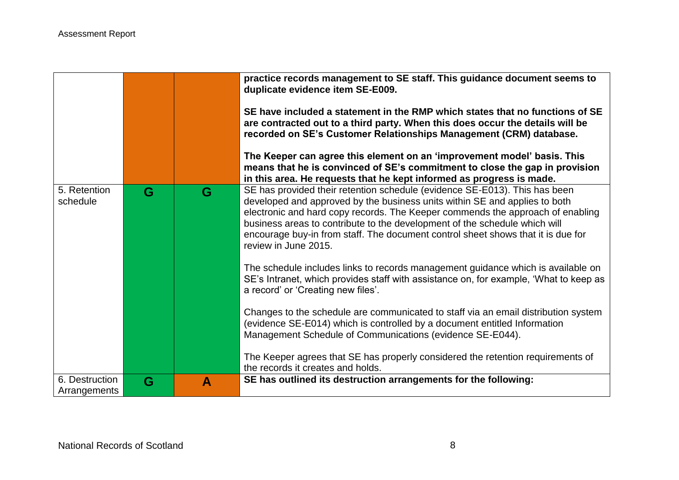|                                |   |   | practice records management to SE staff. This guidance document seems to<br>duplicate evidence item SE-E009.<br>SE have included a statement in the RMP which states that no functions of SE<br>are contracted out to a third party. When this does occur the details will be<br>recorded on SE's Customer Relationships Management (CRM) database.<br>The Keeper can agree this element on an 'improvement model' basis. This<br>means that he is convinced of SE's commitment to close the gap in provision<br>in this area. He requests that he kept informed as progress is made. |
|--------------------------------|---|---|---------------------------------------------------------------------------------------------------------------------------------------------------------------------------------------------------------------------------------------------------------------------------------------------------------------------------------------------------------------------------------------------------------------------------------------------------------------------------------------------------------------------------------------------------------------------------------------|
| 5. Retention<br>schedule       | G | G | SE has provided their retention schedule (evidence SE-E013). This has been<br>developed and approved by the business units within SE and applies to both<br>electronic and hard copy records. The Keeper commends the approach of enabling<br>business areas to contribute to the development of the schedule which will<br>encourage buy-in from staff. The document control sheet shows that it is due for<br>review in June 2015.                                                                                                                                                  |
|                                |   |   | The schedule includes links to records management guidance which is available on<br>SE's Intranet, which provides staff with assistance on, for example, 'What to keep as<br>a record' or 'Creating new files'.                                                                                                                                                                                                                                                                                                                                                                       |
|                                |   |   | Changes to the schedule are communicated to staff via an email distribution system<br>(evidence SE-E014) which is controlled by a document entitled Information<br>Management Schedule of Communications (evidence SE-E044).                                                                                                                                                                                                                                                                                                                                                          |
|                                |   |   | The Keeper agrees that SE has properly considered the retention requirements of<br>the records it creates and holds.                                                                                                                                                                                                                                                                                                                                                                                                                                                                  |
| 6. Destruction<br>Arrangements | G | A | SE has outlined its destruction arrangements for the following:                                                                                                                                                                                                                                                                                                                                                                                                                                                                                                                       |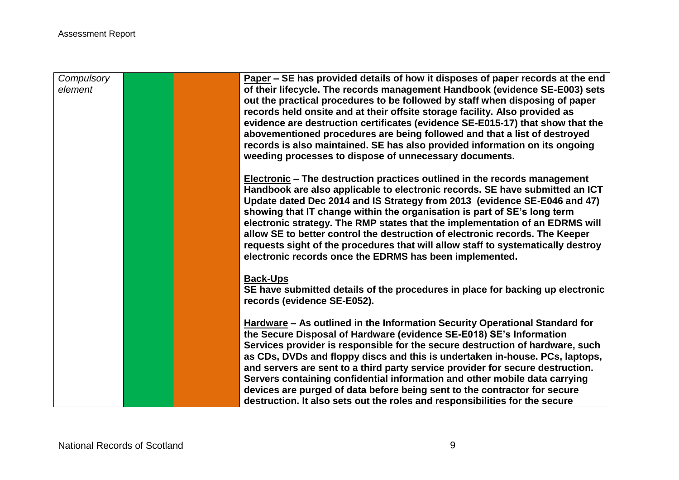| Compulsory<br>element |  | Paper – SE has provided details of how it disposes of paper records at the end<br>of their lifecycle. The records management Handbook (evidence SE-E003) sets |
|-----------------------|--|---------------------------------------------------------------------------------------------------------------------------------------------------------------|
|                       |  | out the practical procedures to be followed by staff when disposing of paper                                                                                  |
|                       |  | records held onsite and at their offsite storage facility. Also provided as                                                                                   |
|                       |  | evidence are destruction certificates (evidence SE-E015-17) that show that the                                                                                |
|                       |  | abovementioned procedures are being followed and that a list of destroyed                                                                                     |
|                       |  | records is also maintained. SE has also provided information on its ongoing<br>weeding processes to dispose of unnecessary documents.                         |
|                       |  |                                                                                                                                                               |
|                       |  | <b>Electronic</b> – The destruction practices outlined in the records management                                                                              |
|                       |  | Handbook are also applicable to electronic records. SE have submitted an ICT                                                                                  |
|                       |  | Update dated Dec 2014 and IS Strategy from 2013 (evidence SE-E046 and 47)<br>showing that IT change within the organisation is part of SE's long term         |
|                       |  | electronic strategy. The RMP states that the implementation of an EDRMS will                                                                                  |
|                       |  | allow SE to better control the destruction of electronic records. The Keeper                                                                                  |
|                       |  | requests sight of the procedures that will allow staff to systematically destroy                                                                              |
|                       |  | electronic records once the EDRMS has been implemented.                                                                                                       |
|                       |  | <b>Back-Ups</b>                                                                                                                                               |
|                       |  | SE have submitted details of the procedures in place for backing up electronic                                                                                |
|                       |  | records (evidence SE-E052).                                                                                                                                   |
|                       |  | Hardware - As outlined in the Information Security Operational Standard for                                                                                   |
|                       |  | the Secure Disposal of Hardware (evidence SE-E018) SE's Information                                                                                           |
|                       |  | Services provider is responsible for the secure destruction of hardware, such                                                                                 |
|                       |  | as CDs, DVDs and floppy discs and this is undertaken in-house. PCs, laptops,                                                                                  |
|                       |  | and servers are sent to a third party service provider for secure destruction.<br>Servers containing confidential information and other mobile data carrying  |
|                       |  | devices are purged of data before being sent to the contractor for secure                                                                                     |
|                       |  | destruction. It also sets out the roles and responsibilities for the secure                                                                                   |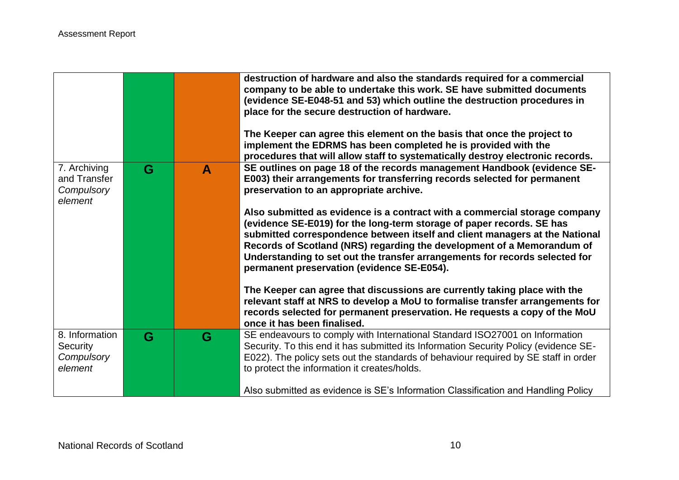|                                                       |   |   | destruction of hardware and also the standards required for a commercial<br>company to be able to undertake this work. SE have submitted documents<br>(evidence SE-E048-51 and 53) which outline the destruction procedures in<br>place for the secure destruction of hardware.<br>The Keeper can agree this element on the basis that once the project to<br>implement the EDRMS has been completed he is provided with the<br>procedures that will allow staff to systematically destroy electronic records. |
|-------------------------------------------------------|---|---|----------------------------------------------------------------------------------------------------------------------------------------------------------------------------------------------------------------------------------------------------------------------------------------------------------------------------------------------------------------------------------------------------------------------------------------------------------------------------------------------------------------|
| 7. Archiving<br>and Transfer<br>Compulsory<br>element | G | A | SE outlines on page 18 of the records management Handbook (evidence SE-<br>E003) their arrangements for transferring records selected for permanent<br>preservation to an appropriate archive.                                                                                                                                                                                                                                                                                                                 |
|                                                       |   |   | Also submitted as evidence is a contract with a commercial storage company<br>(evidence SE-E019) for the long-term storage of paper records. SE has<br>submitted correspondence between itself and client managers at the National<br>Records of Scotland (NRS) regarding the development of a Memorandum of<br>Understanding to set out the transfer arrangements for records selected for<br>permanent preservation (evidence SE-E054).                                                                      |
|                                                       |   |   | The Keeper can agree that discussions are currently taking place with the<br>relevant staff at NRS to develop a MoU to formalise transfer arrangements for<br>records selected for permanent preservation. He requests a copy of the MoU<br>once it has been finalised.                                                                                                                                                                                                                                        |
| 8. Information<br>Security<br>Compulsory<br>element   | G | G | SE endeavours to comply with International Standard ISO27001 on Information<br>Security. To this end it has submitted its Information Security Policy (evidence SE-<br>E022). The policy sets out the standards of behaviour required by SE staff in order<br>to protect the information it creates/holds.                                                                                                                                                                                                     |
|                                                       |   |   | Also submitted as evidence is SE's Information Classification and Handling Policy                                                                                                                                                                                                                                                                                                                                                                                                                              |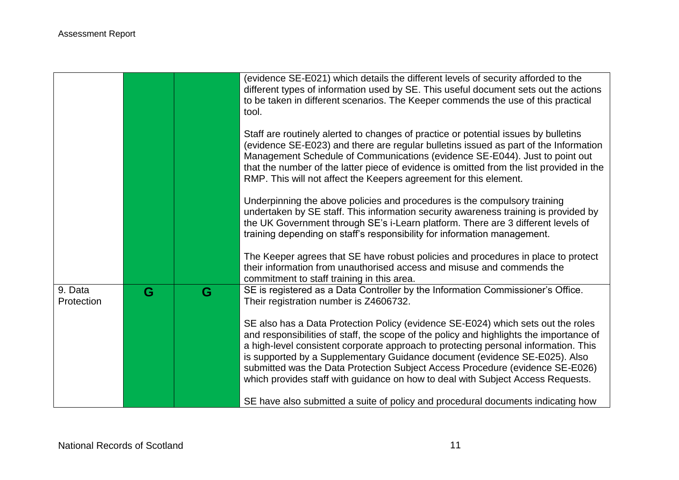|                       |   |   | (evidence SE-E021) which details the different levels of security afforded to the<br>different types of information used by SE. This useful document sets out the actions<br>to be taken in different scenarios. The Keeper commends the use of this practical<br>tool.                                                                                                                                                                                                                                              |
|-----------------------|---|---|----------------------------------------------------------------------------------------------------------------------------------------------------------------------------------------------------------------------------------------------------------------------------------------------------------------------------------------------------------------------------------------------------------------------------------------------------------------------------------------------------------------------|
|                       |   |   | Staff are routinely alerted to changes of practice or potential issues by bulletins<br>(evidence SE-E023) and there are regular bulletins issued as part of the Information<br>Management Schedule of Communications (evidence SE-E044). Just to point out<br>that the number of the latter piece of evidence is omitted from the list provided in the<br>RMP. This will not affect the Keepers agreement for this element.                                                                                          |
|                       |   |   | Underpinning the above policies and procedures is the compulsory training<br>undertaken by SE staff. This information security awareness training is provided by<br>the UK Government through SE's i-Learn platform. There are 3 different levels of<br>training depending on staff's responsibility for information management.                                                                                                                                                                                     |
|                       |   |   | The Keeper agrees that SE have robust policies and procedures in place to protect<br>their information from unauthorised access and misuse and commends the<br>commitment to staff training in this area.                                                                                                                                                                                                                                                                                                            |
| 9. Data<br>Protection | G | G | SE is registered as a Data Controller by the Information Commissioner's Office.<br>Their registration number is Z4606732.                                                                                                                                                                                                                                                                                                                                                                                            |
|                       |   |   | SE also has a Data Protection Policy (evidence SE-E024) which sets out the roles<br>and responsibilities of staff, the scope of the policy and highlights the importance of<br>a high-level consistent corporate approach to protecting personal information. This<br>is supported by a Supplementary Guidance document (evidence SE-E025). Also<br>submitted was the Data Protection Subject Access Procedure (evidence SE-E026)<br>which provides staff with guidance on how to deal with Subject Access Requests. |
|                       |   |   | SE have also submitted a suite of policy and procedural documents indicating how                                                                                                                                                                                                                                                                                                                                                                                                                                     |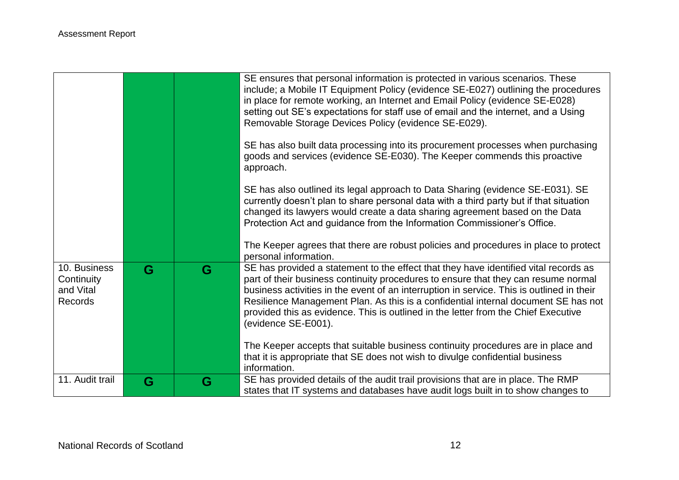|                                                    |   |   | SE ensures that personal information is protected in various scenarios. These<br>include; a Mobile IT Equipment Policy (evidence SE-E027) outlining the procedures<br>in place for remote working, an Internet and Email Policy (evidence SE-E028)<br>setting out SE's expectations for staff use of email and the internet, and a Using<br>Removable Storage Devices Policy (evidence SE-E029).<br>SE has also built data processing into its procurement processes when purchasing<br>goods and services (evidence SE-E030). The Keeper commends this proactive<br>approach. |
|----------------------------------------------------|---|---|--------------------------------------------------------------------------------------------------------------------------------------------------------------------------------------------------------------------------------------------------------------------------------------------------------------------------------------------------------------------------------------------------------------------------------------------------------------------------------------------------------------------------------------------------------------------------------|
|                                                    |   |   | SE has also outlined its legal approach to Data Sharing (evidence SE-E031). SE<br>currently doesn't plan to share personal data with a third party but if that situation<br>changed its lawyers would create a data sharing agreement based on the Data<br>Protection Act and guidance from the Information Commissioner's Office.<br>The Keeper agrees that there are robust policies and procedures in place to protect                                                                                                                                                      |
| 10. Business<br>Continuity<br>and Vital<br>Records | G | G | personal information.<br>SE has provided a statement to the effect that they have identified vital records as<br>part of their business continuity procedures to ensure that they can resume normal<br>business activities in the event of an interruption in service. This is outlined in their<br>Resilience Management Plan. As this is a confidential internal document SE has not<br>provided this as evidence. This is outlined in the letter from the Chief Executive<br>(evidence SE-E001).                                                                            |
| 11. Audit trail                                    | G | G | The Keeper accepts that suitable business continuity procedures are in place and<br>that it is appropriate that SE does not wish to divulge confidential business<br>information.<br>SE has provided details of the audit trail provisions that are in place. The RMP<br>states that IT systems and databases have audit logs built in to show changes to                                                                                                                                                                                                                      |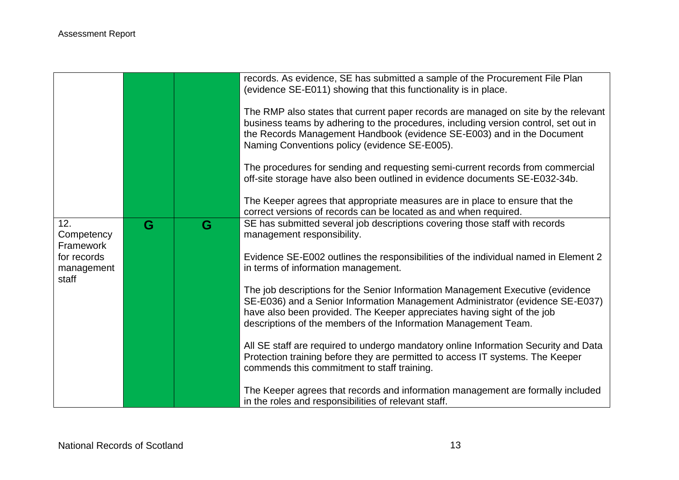|                                |   |   | records. As evidence, SE has submitted a sample of the Procurement File Plan<br>(evidence SE-E011) showing that this functionality is in place.                                                                                                                                                               |
|--------------------------------|---|---|---------------------------------------------------------------------------------------------------------------------------------------------------------------------------------------------------------------------------------------------------------------------------------------------------------------|
|                                |   |   | The RMP also states that current paper records are managed on site by the relevant<br>business teams by adhering to the procedures, including version control, set out in<br>the Records Management Handbook (evidence SE-E003) and in the Document<br>Naming Conventions policy (evidence SE-E005).          |
|                                |   |   | The procedures for sending and requesting semi-current records from commercial<br>off-site storage have also been outlined in evidence documents SE-E032-34b.                                                                                                                                                 |
|                                |   |   | The Keeper agrees that appropriate measures are in place to ensure that the<br>correct versions of records can be located as and when required.                                                                                                                                                               |
| 12.<br>Competency<br>Framework | G | G | SE has submitted several job descriptions covering those staff with records<br>management responsibility.                                                                                                                                                                                                     |
| for records<br>management      |   |   | Evidence SE-E002 outlines the responsibilities of the individual named in Element 2<br>in terms of information management.                                                                                                                                                                                    |
| staff                          |   |   | The job descriptions for the Senior Information Management Executive (evidence<br>SE-E036) and a Senior Information Management Administrator (evidence SE-E037)<br>have also been provided. The Keeper appreciates having sight of the job<br>descriptions of the members of the Information Management Team. |
|                                |   |   | All SE staff are required to undergo mandatory online Information Security and Data<br>Protection training before they are permitted to access IT systems. The Keeper<br>commends this commitment to staff training.                                                                                          |
|                                |   |   | The Keeper agrees that records and information management are formally included<br>in the roles and responsibilities of relevant staff.                                                                                                                                                                       |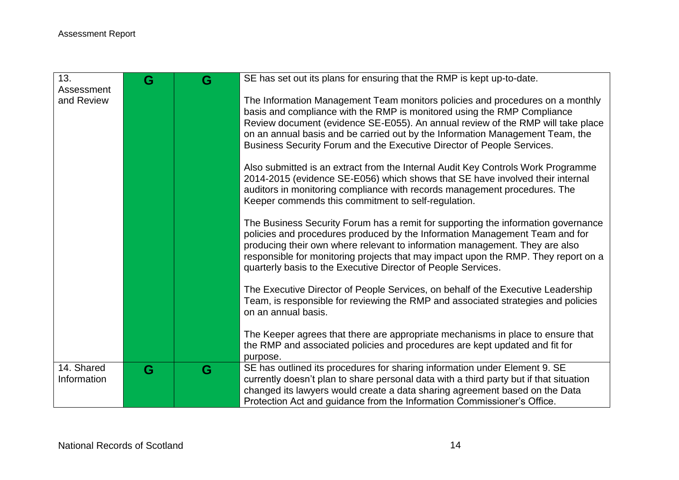| 13.                       | G | G | SE has set out its plans for ensuring that the RMP is kept up-to-date.                                                                                                                                                                                                                                                                                                                                 |
|---------------------------|---|---|--------------------------------------------------------------------------------------------------------------------------------------------------------------------------------------------------------------------------------------------------------------------------------------------------------------------------------------------------------------------------------------------------------|
| Assessment<br>and Review  |   |   | The Information Management Team monitors policies and procedures on a monthly<br>basis and compliance with the RMP is monitored using the RMP Compliance<br>Review document (evidence SE-E055). An annual review of the RMP will take place<br>on an annual basis and be carried out by the Information Management Team, the<br>Business Security Forum and the Executive Director of People Services. |
|                           |   |   | Also submitted is an extract from the Internal Audit Key Controls Work Programme<br>2014-2015 (evidence SE-E056) which shows that SE have involved their internal<br>auditors in monitoring compliance with records management procedures. The<br>Keeper commends this commitment to self-regulation.                                                                                                  |
|                           |   |   | The Business Security Forum has a remit for supporting the information governance<br>policies and procedures produced by the Information Management Team and for<br>producing their own where relevant to information management. They are also<br>responsible for monitoring projects that may impact upon the RMP. They report on a<br>quarterly basis to the Executive Director of People Services. |
|                           |   |   | The Executive Director of People Services, on behalf of the Executive Leadership<br>Team, is responsible for reviewing the RMP and associated strategies and policies<br>on an annual basis.                                                                                                                                                                                                           |
|                           |   |   | The Keeper agrees that there are appropriate mechanisms in place to ensure that<br>the RMP and associated policies and procedures are kept updated and fit for<br>purpose.                                                                                                                                                                                                                             |
| 14. Shared<br>Information | G | G | SE has outlined its procedures for sharing information under Element 9. SE<br>currently doesn't plan to share personal data with a third party but if that situation<br>changed its lawyers would create a data sharing agreement based on the Data<br>Protection Act and guidance from the Information Commissioner's Office.                                                                         |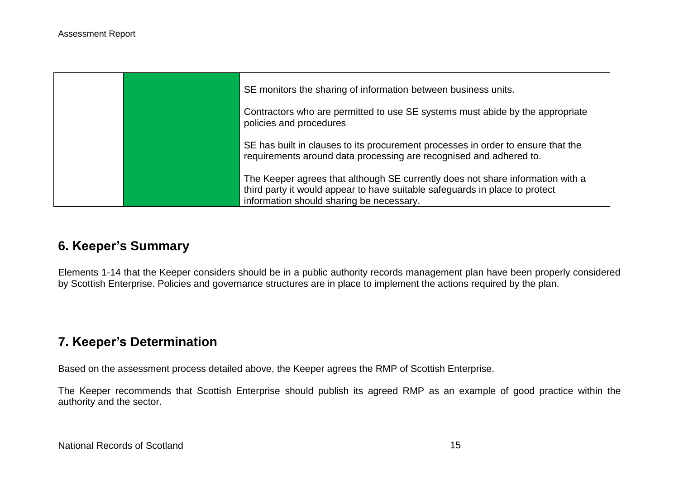|  | SE monitors the sharing of information between business units.                                                                                                                                            |
|--|-----------------------------------------------------------------------------------------------------------------------------------------------------------------------------------------------------------|
|  | Contractors who are permitted to use SE systems must abide by the appropriate<br>policies and procedures                                                                                                  |
|  | SE has built in clauses to its procurement processes in order to ensure that the<br>requirements around data processing are recognised and adhered to.                                                    |
|  | The Keeper agrees that although SE currently does not share information with a<br>third party it would appear to have suitable safeguards in place to protect<br>information should sharing be necessary. |

# **6. Keeper's Summary**

Elements 1-14 that the Keeper considers should be in a public authority records management plan have been properly considered by Scottish Enterprise. Policies and governance structures are in place to implement the actions required by the plan.

# **7. Keeper's Determination**

Based on the assessment process detailed above, the Keeper agrees the RMP of Scottish Enterprise.

The Keeper recommends that Scottish Enterprise should publish its agreed RMP as an example of good practice within the authority and the sector.